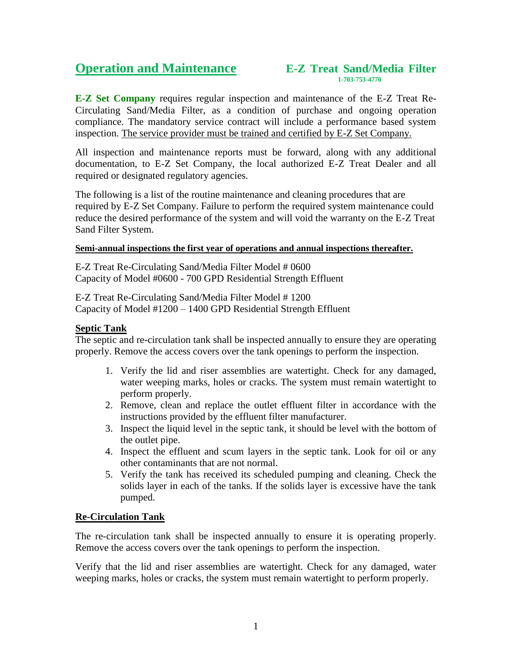# **1-703-753-4770**

**E-Z Set Company** requires regular inspection and maintenance of the E-Z Treat Re-Circulating Sand/Media Filter, as a condition of purchase and ongoing operation compliance. The mandatory service contract will include a performance based system inspection. The service provider must be trained and certified by E-Z Set Company.

All inspection and maintenance reports must be forward, along with any additional documentation, to E-Z Set Company, the local authorized E-Z Treat Dealer and all required or designated regulatory agencies.

The following is a list of the routine maintenance and cleaning procedures that are required by E-Z Set Company. Failure to perform the required system maintenance could reduce the desired performance of the system and will void the warranty on the E-Z Treat Sand Filter System.

#### **Semi-annual inspections the first year of operations and annual inspections thereafter.**

E-Z Treat Re-Circulating Sand/Media Filter Model # 0600 Capacity of Model #0600 - 700 GPD Residential Strength Effluent

E-Z Treat Re-Circulating Sand/Media Filter Model # 1200 Capacity of Model #1200 – 1400 GPD Residential Strength Effluent

### **Septic Tank**

The septic and re-circulation tank shall be inspected annually to ensure they are operating properly. Remove the access covers over the tank openings to perform the inspection.

- 1. Verify the lid and riser assemblies are watertight. Check for any damaged, water weeping marks, holes or cracks. The system must remain watertight to perform properly.
- 2. Remove, clean and replace the outlet effluent filter in accordance with the instructions provided by the effluent filter manufacturer.
- 3. Inspect the liquid level in the septic tank, it should be level with the bottom of the outlet pipe.
- 4. Inspect the effluent and scum layers in the septic tank. Look for oil or any other contaminants that are not normal.
- 5. Verify the tank has received its scheduled pumping and cleaning. Check the solids layer in each of the tanks. If the solids layer is excessive have the tank pumped.

#### **Re-Circulation Tank**

The re-circulation tank shall be inspected annually to ensure it is operating properly. Remove the access covers over the tank openings to perform the inspection.

Verify that the lid and riser assemblies are watertight. Check for any damaged, water weeping marks, holes or cracks, the system must remain watertight to perform properly.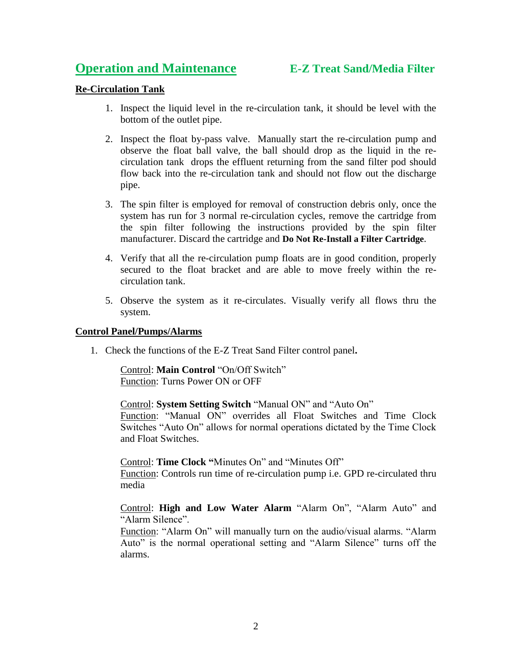# **Operation and Maintenance**

## **Re-Circulation Tank**

- 1. Inspect the liquid level in the re-circulation tank, it should be level with the bottom of the outlet pipe.
- 2. Inspect the float by-pass valve. Manually start the re-circulation pump and observe the float ball valve, the ball should drop as the liquid in the recirculation tank drops the effluent returning from the sand filter pod should flow back into the re-circulation tank and should not flow out the discharge pipe.
- 3. The spin filter is employed for removal of construction debris only, once the system has run for 3 normal re-circulation cycles, remove the cartridge from the spin filter following the instructions provided by the spin filter manufacturer. Discard the cartridge and **Do Not Re-Install a Filter Cartridge**.
- 4. Verify that all the re-circulation pump floats are in good condition, properly secured to the float bracket and are able to move freely within the recirculation tank.
- 5. Observe the system as it re-circulates. Visually verify all flows thru the system.

#### **Control Panel/Pumps/Alarms**

1. Check the functions of the E-Z Treat Sand Filter control panel**.**

Control: **Main Control** "On/Off Switch" Function: Turns Power ON or OFF

Control: **System Setting Switch** "Manual ON" and "Auto On"

Function: "Manual ON" overrides all Float Switches and Time Clock Switches "Auto On" allows for normal operations dictated by the Time Clock and Float Switches.

Control: **Time Clock "**Minutes On" and "Minutes Off" Function: Controls run time of re-circulation pump i.e. GPD re-circulated thru media

Control: **High and Low Water Alarm** "Alarm On", "Alarm Auto" and "Alarm Silence".

Function: "Alarm On" will manually turn on the audio/visual alarms. "Alarm Auto" is the normal operational setting and "Alarm Silence" turns off the alarms.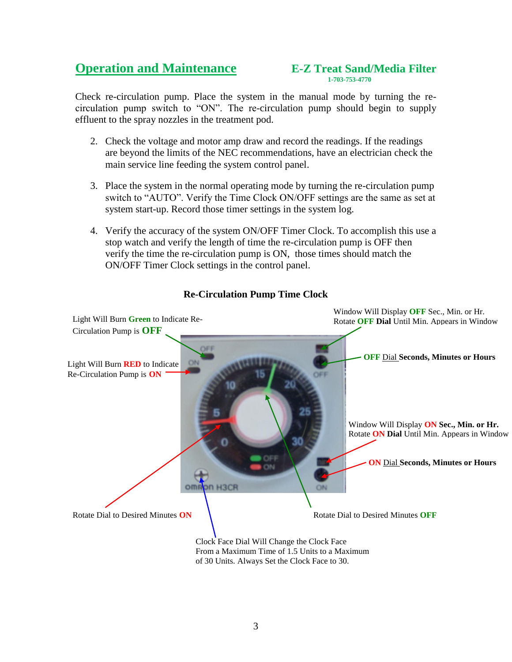# **1-703-753-4770**

Check re-circulation pump. Place the system in the manual mode by turning the recirculation pump switch to "ON". The re-circulation pump should begin to supply effluent to the spray nozzles in the treatment pod.

- 2. Check the voltage and motor amp draw and record the readings. If the readings are beyond the limits of the NEC recommendations, have an electrician check the main service line feeding the system control panel.
- 3. Place the system in the normal operating mode by turning the re-circulation pump switch to "AUTO". Verify the Time Clock ON/OFF settings are the same as set at system start-up. Record those timer settings in the system log.
- 4. Verify the accuracy of the system ON/OFF Timer Clock. To accomplish this use a stop watch and verify the length of time the re-circulation pump is OFF then verify the time the re-circulation pump is ON, those times should match the ON/OFF Timer Clock settings in the control panel.



## **Re-Circulation Pump Time Clock**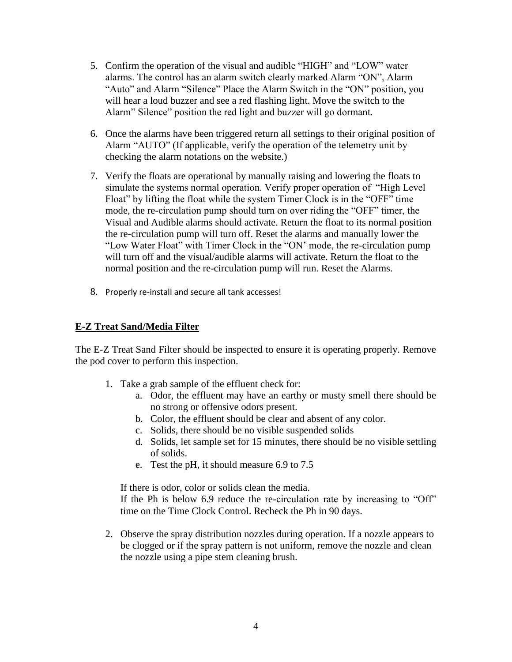- 5. Confirm the operation of the visual and audible "HIGH" and "LOW" water alarms. The control has an alarm switch clearly marked Alarm "ON", Alarm "Auto" and Alarm "Silence" Place the Alarm Switch in the "ON" position, you will hear a loud buzzer and see a red flashing light. Move the switch to the Alarm" Silence" position the red light and buzzer will go dormant.
- 6. Once the alarms have been triggered return all settings to their original position of Alarm "AUTO" (If applicable, verify the operation of the telemetry unit by checking the alarm notations on the website.)
- 7. Verify the floats are operational by manually raising and lowering the floats to simulate the systems normal operation. Verify proper operation of "High Level Float" by lifting the float while the system Timer Clock is in the "OFF" time mode, the re-circulation pump should turn on over riding the "OFF" timer, the Visual and Audible alarms should activate. Return the float to its normal position the re-circulation pump will turn off. Reset the alarms and manually lower the "Low Water Float" with Timer Clock in the "ON' mode, the re-circulation pump will turn off and the visual/audible alarms will activate. Return the float to the normal position and the re-circulation pump will run. Reset the Alarms.
- 8. Properly re-install and secure all tank accesses!

### **E-Z Treat Sand/Media Filter**

The E-Z Treat Sand Filter should be inspected to ensure it is operating properly. Remove the pod cover to perform this inspection.

- 1. Take a grab sample of the effluent check for:
	- a. Odor, the effluent may have an earthy or musty smell there should be no strong or offensive odors present.
	- b. Color, the effluent should be clear and absent of any color.
	- c. Solids, there should be no visible suspended solids
	- d. Solids, let sample set for 15 minutes, there should be no visible settling of solids.
	- e. Test the pH, it should measure 6.9 to 7.5

If there is odor, color or solids clean the media. If the Ph is below 6.9 reduce the re-circulation rate by increasing to "Off" time on the Time Clock Control. Recheck the Ph in 90 days.

2. Observe the spray distribution nozzles during operation. If a nozzle appears to be clogged or if the spray pattern is not uniform, remove the nozzle and clean the nozzle using a pipe stem cleaning brush.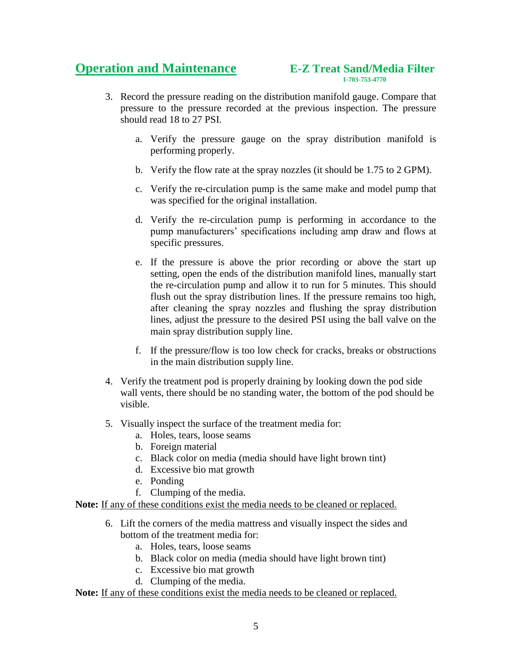# **1-703-753-4770**<br>1-703-753-4770

- 3. Record the pressure reading on the distribution manifold gauge. Compare that pressure to the pressure recorded at the previous inspection. The pressure should read 18 to 27 PSI.
	- a. Verify the pressure gauge on the spray distribution manifold is performing properly.
	- b. Verify the flow rate at the spray nozzles (it should be 1.75 to 2 GPM).
	- c. Verify the re-circulation pump is the same make and model pump that was specified for the original installation.
	- d. Verify the re-circulation pump is performing in accordance to the pump manufacturers' specifications including amp draw and flows at specific pressures.
	- e. If the pressure is above the prior recording or above the start up setting, open the ends of the distribution manifold lines, manually start the re-circulation pump and allow it to run for 5 minutes. This should flush out the spray distribution lines. If the pressure remains too high, after cleaning the spray nozzles and flushing the spray distribution lines, adjust the pressure to the desired PSI using the ball valve on the main spray distribution supply line.
	- f. If the pressure/flow is too low check for cracks, breaks or obstructions in the main distribution supply line.
- 4. Verify the treatment pod is properly draining by looking down the pod side wall vents, there should be no standing water, the bottom of the pod should be visible.
- 5. Visually inspect the surface of the treatment media for:
	- a. Holes, tears, loose seams
	- b. Foreign material
	- c. Black color on media (media should have light brown tint)
	- d. Excessive bio mat growth
	- e. Ponding
	- f. Clumping of the media.

**Note:** If any of these conditions exist the media needs to be cleaned or replaced.

- 6. Lift the corners of the media mattress and visually inspect the sides and bottom of the treatment media for:
	- a. Holes, tears, loose seams
	- b. Black color on media (media should have light brown tint)
	- c. Excessive bio mat growth
	- d. Clumping of the media.

**Note:** If any of these conditions exist the media needs to be cleaned or replaced.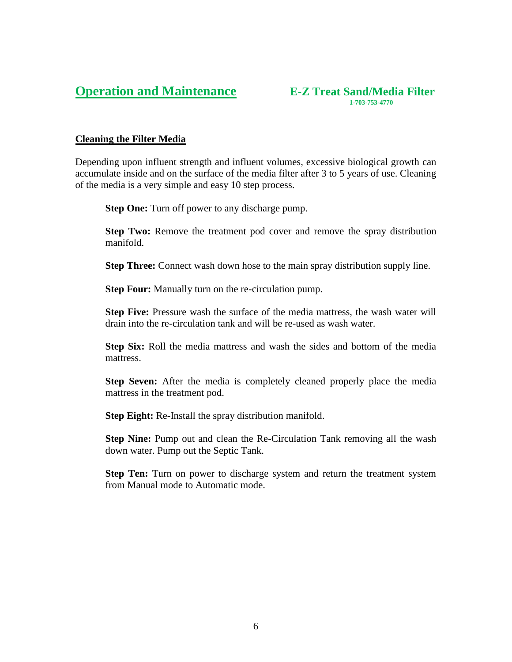#### **Operation and Maintenance E-Z Treat Sand/Media Filter 1-703-753-4770**<br>1-703-753-4770

#### **Cleaning the Filter Media**

Depending upon influent strength and influent volumes, excessive biological growth can accumulate inside and on the surface of the media filter after 3 to 5 years of use. Cleaning of the media is a very simple and easy 10 step process.

**Step One:** Turn off power to any discharge pump.

**Step Two:** Remove the treatment pod cover and remove the spray distribution manifold.

**Step Three:** Connect wash down hose to the main spray distribution supply line.

**Step Four:** Manually turn on the re-circulation pump.

**Step Five:** Pressure wash the surface of the media mattress, the wash water will drain into the re-circulation tank and will be re-used as wash water.

**Step Six:** Roll the media mattress and wash the sides and bottom of the media mattress.

**Step Seven:** After the media is completely cleaned properly place the media mattress in the treatment pod.

**Step Eight:** Re-Install the spray distribution manifold.

**Step Nine:** Pump out and clean the Re-Circulation Tank removing all the wash down water. Pump out the Septic Tank.

**Step Ten:** Turn on power to discharge system and return the treatment system from Manual mode to Automatic mode.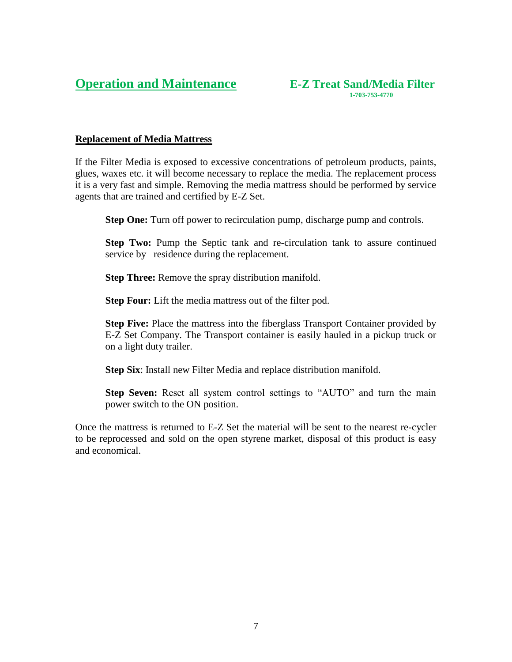#### **Replacement of Media Mattress**

If the Filter Media is exposed to excessive concentrations of petroleum products, paints, glues, waxes etc. it will become necessary to replace the media. The replacement process it is a very fast and simple. Removing the media mattress should be performed by service agents that are trained and certified by E-Z Set.

**Step One:** Turn off power to recirculation pump, discharge pump and controls.

**Step Two:** Pump the Septic tank and re-circulation tank to assure continued service by residence during the replacement.

**Step Three:** Remove the spray distribution manifold.

**Step Four:** Lift the media mattress out of the filter pod.

**Step Five:** Place the mattress into the fiberglass Transport Container provided by E-Z Set Company. The Transport container is easily hauled in a pickup truck or on a light duty trailer.

**Step Six**: Install new Filter Media and replace distribution manifold.

**Step Seven:** Reset all system control settings to "AUTO" and turn the main power switch to the ON position.

Once the mattress is returned to E-Z Set the material will be sent to the nearest re-cycler to be reprocessed and sold on the open styrene market, disposal of this product is easy and economical.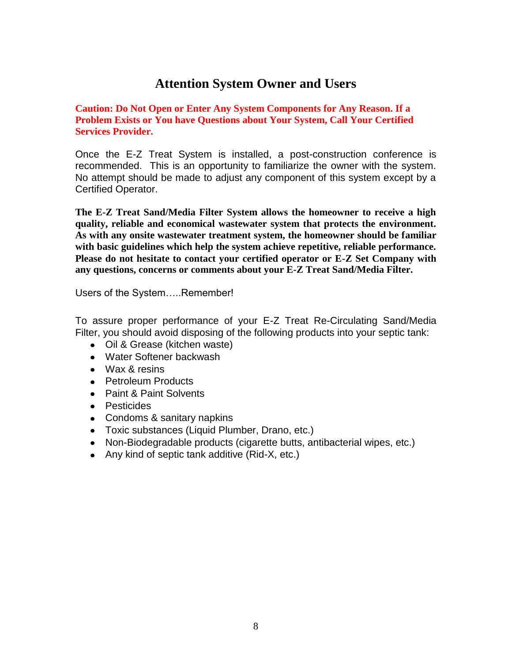# **Attention System Owner and Users**

**Caution: Do Not Open or Enter Any System Components for Any Reason. If a Problem Exists or You have Questions about Your System, Call Your Certified Services Provider.**

Once the E-Z Treat System is installed, a post-construction conference is recommended. This is an opportunity to familiarize the owner with the system. No attempt should be made to adjust any component of this system except by a Certified Operator.

**The E-Z Treat Sand/Media Filter System allows the homeowner to receive a high quality, reliable and economical wastewater system that protects the environment. As with any onsite wastewater treatment system, the homeowner should be familiar with basic guidelines which help the system achieve repetitive, reliable performance. Please do not hesitate to contact your certified operator or E-Z Set Company with any questions, concerns or comments about your E-Z Treat Sand/Media Filter.**

Users of the System…..Remember!

To assure proper performance of your E-Z Treat Re-Circulating Sand/Media Filter, you should avoid disposing of the following products into your septic tank:

- Oil & Grease (kitchen waste)
- Water Softener backwash
- Wax & resins
- Petroleum Products
- Paint & Paint Solvents
- Pesticides
- Condoms & sanitary napkins
- Toxic substances (Liquid Plumber, Drano, etc.)
- Non-Biodegradable products (cigarette butts, antibacterial wipes, etc.)
- Any kind of septic tank additive (Rid-X, etc.)